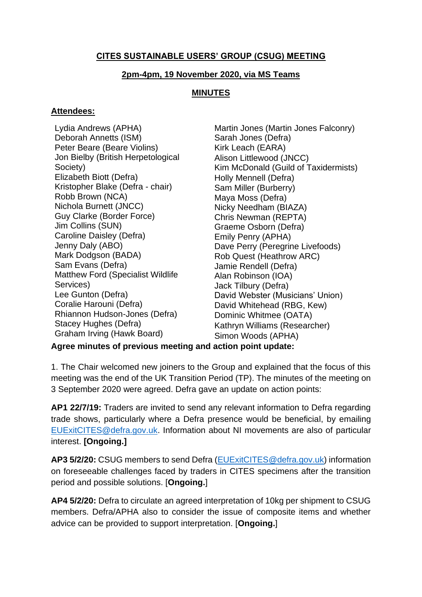# **CITES SUSTAINABLE USERS' GROUP (CSUG) MEETING**

### **2pm-4pm, 19 November 2020, via MS Teams**

### **MINUTES**

#### **Attendees:**

Lydia Andrews (APHA) Deborah Annetts (ISM) Peter Beare (Beare Violins) Jon Bielby (British Herpetological Society) Elizabeth Biott (Defra) Kristopher Blake (Defra - chair) Robb Brown (NCA) Nichola Burnett (JNCC) Guy Clarke (Border Force) Jim Collins (SUN) Caroline Daisley (Defra) Jenny Daly (ABO) Mark Dodgson (BADA) Sam Evans (Defra) Matthew Ford (Specialist Wildlife Services) Lee Gunton (Defra) Coralie Harouni (Defra) Rhiannon Hudson-Jones (Defra) Stacey Hughes (Defra) Graham Irving (Hawk Board)

Martin Jones (Martin Jones Falconry) Sarah Jones (Defra) Kirk Leach (EARA) Alison Littlewood (JNCC) Kim McDonald (Guild of Taxidermists) Holly Mennell (Defra) Sam Miller (Burberry) Maya Moss (Defra) Nicky Needham (BIAZA) Chris Newman (REPTA) Graeme Osborn (Defra) Emily Penry (APHA) Dave Perry (Peregrine Livefoods) Rob Quest (Heathrow ARC) Jamie Rendell (Defra) Alan Robinson (IOA) Jack Tilbury (Defra) David Webster (Musicians' Union) David Whitehead (RBG, Kew) Dominic Whitmee (OATA) Kathryn Williams (Researcher) Simon Woods (APHA)

**Agree minutes of previous meeting and action point update:**

1. The Chair welcomed new joiners to the Group and explained that the focus of this meeting was the end of the UK Transition Period (TP). The minutes of the meeting on 3 September 2020 were agreed. Defra gave an update on action points:

**AP1 22/7/19:** Traders are invited to send any relevant information to Defra regarding trade shows, particularly where a Defra presence would be beneficial, by emailing [EUExitCITES@defra.gov.uk.](about:blank) Information about NI movements are also of particular interest. **[Ongoing.]**

**AP3 5/2/20:** CSUG members to send Defra [\(EUExitCITES@defra.gov.uk\)](about:blank) information on foreseeable challenges faced by traders in CITES specimens after the transition period and possible solutions. [**Ongoing.**]

**AP4 5/2/20:** Defra to circulate an agreed interpretation of 10kg per shipment to CSUG members. Defra/APHA also to consider the issue of composite items and whether advice can be provided to support interpretation. [**Ongoing.**]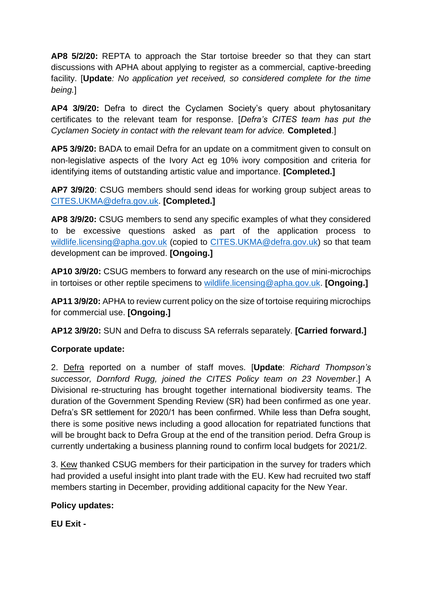**AP8 5/2/20:** REPTA to approach the Star tortoise breeder so that they can start discussions with APHA about applying to register as a commercial, captive-breeding facility. [**Update***: No application yet received, so considered complete for the time being.*]

**AP4 3/9/20:** Defra to direct the Cyclamen Society's query about phytosanitary certificates to the relevant team for response. [*Defra's CITES team has put the Cyclamen Society in contact with the relevant team for advice.* **Completed**.]

**AP5 3/9/20:** BADA to email Defra for an update on a commitment given to consult on non-legislative aspects of the Ivory Act eg 10% ivory composition and criteria for identifying items of outstanding artistic value and importance. **[Completed.]**

**AP7 3/9/20**: CSUG members should send ideas for working group subject areas to [CITES.UKMA@defra.gov.uk.](about:blank) **[Completed.]**

**AP8 3/9/20:** CSUG members to send any specific examples of what they considered to be excessive questions asked as part of the application process to [wildlife.licensing@apha.gov.uk](about:blank) (copied to [CITES.UKMA@defra.gov.uk\)](about:blank) so that team development can be improved. **[Ongoing.]**

**AP10 3/9/20:** CSUG members to forward any research on the use of mini-microchips in tortoises or other reptile specimens to [wildlife.licensing@apha.gov.uk.](about:blank) **[Ongoing.]**

**AP11 3/9/20:** APHA to review current policy on the size of tortoise requiring microchips for commercial use. **[Ongoing.]**

**AP12 3/9/20:** SUN and Defra to discuss SA referrals separately. **[Carried forward.]**

## **Corporate update:**

2. Defra reported on a number of staff moves. [**Update**: *Richard Thompson's successor, Dornford Rugg, joined the CITES Policy team on 23 November*.] A Divisional re-structuring has brought together international biodiversity teams. The duration of the Government Spending Review (SR) had been confirmed as one year. Defra's SR settlement for 2020/1 has been confirmed. While less than Defra sought, there is some positive news including a good allocation for repatriated functions that will be brought back to Defra Group at the end of the transition period. Defra Group is currently undertaking a business planning round to confirm local budgets for 2021/2.

3. Kew thanked CSUG members for their participation in the survey for traders which had provided a useful insight into plant trade with the EU. Kew had recruited two staff members starting in December, providing additional capacity for the New Year.

## **Policy updates:**

**EU Exit -**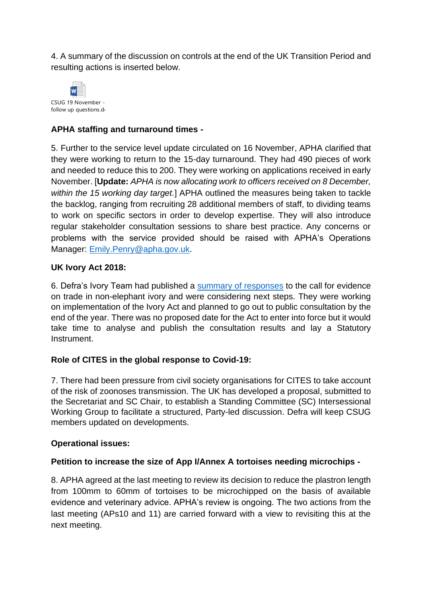4. A summary of the discussion on controls at the end of the UK Transition Period and resulting actions is inserted below.



# **APHA staffing and turnaround times -**

5. Further to the service level update circulated on 16 November, APHA clarified that they were working to return to the 15-day turnaround. They had 490 pieces of work and needed to reduce this to 200. They were working on applications received in early November. [**Update:** *APHA is now allocating work to officers received on 8 December, within the 15 working day target.*] APHA outlined the measures being taken to tackle the backlog, ranging from recruiting 28 additional members of staff, to dividing teams to work on specific sectors in order to develop expertise. They will also introduce regular stakeholder consultation sessions to share best practice. Any concerns or problems with the service provided should be raised with APHA's Operations Manager: [Emily.Penry@apha.gov.uk.](about:blank)

### **UK Ivory Act 2018:**

6. Defra's Ivory Team had published a [summary of responses](about:blank) to the call for evidence on trade in non-elephant ivory and were considering next steps. They were working on implementation of the Ivory Act and planned to go out to public consultation by the end of the year. There was no proposed date for the Act to enter into force but it would take time to analyse and publish the consultation results and lay a Statutory Instrument.

## **Role of CITES in the global response to Covid-19:**

7. There had been pressure from civil society organisations for CITES to take account of the risk of zoonoses transmission. The UK has developed a proposal, submitted to the Secretariat and SC Chair, to establish a Standing Committee (SC) Intersessional Working Group to facilitate a structured, Party-led discussion. Defra will keep CSUG members updated on developments.

#### **Operational issues:**

## **Petition to increase the size of App I/Annex A tortoises needing microchips -**

8. APHA agreed at the last meeting to review its decision to reduce the plastron length from 100mm to 60mm of tortoises to be microchipped on the basis of available evidence and veterinary advice. APHA's review is ongoing. The two actions from the last meeting (APs10 and 11) are carried forward with a view to revisiting this at the next meeting.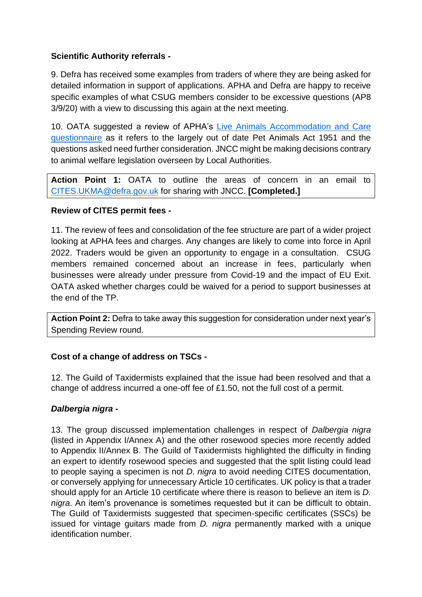# **Scientific Authority referrals -**

9. Defra has received some examples from traders of where they are being asked for detailed information in support of applications. APHA and Defra are happy to receive specific examples of what CSUG members consider to be excessive questions (AP8 3/9/20) with a view to discussing this again at the next meeting.

10. OATA suggested a review of APHA's [Live Animals Accommodation and Care](about:blank)  [questionnaire](about:blank) as it refers to the largely out of date Pet Animals Act 1951 and the questions asked need further consideration. JNCC might be making decisions contrary to animal welfare legislation overseen by Local Authorities.

**Action Point 1:** OATA to outline the areas of concern in an email to [CITES.UKMA@defra.gov.uk](about:blank) for sharing with JNCC. **[Completed.]**

## **Review of CITES permit fees -**

11. The review of fees and consolidation of the fee structure are part of a wider project looking at APHA fees and charges. Any changes are likely to come into force in April 2022. Traders would be given an opportunity to engage in a consultation. CSUG members remained concerned about an increase in fees, particularly when businesses were already under pressure from Covid-19 and the impact of EU Exit. OATA asked whether charges could be waived for a period to support businesses at the end of the TP.

**Action Point 2:** Defra to take away this suggestion for consideration under next year's Spending Review round.

## **Cost of a change of address on TSCs -**

12. The Guild of Taxidermists explained that the issue had been resolved and that a change of address incurred a one-off fee of £1.50, not the full cost of a permit.

## *Dalbergia nigra* **-**

13. The group discussed implementation challenges in respect of *Dalbergia nigra* (listed in Appendix I/Annex A) and the other rosewood species more recently added to Appendix II/Annex B. The Guild of Taxidermists highlighted the difficulty in finding an expert to identify rosewood species and suggested that the split listing could lead to people saying a specimen is not *D. nigra* to avoid needing CITES documentation, or conversely applying for unnecessary Article 10 certificates. UK policy is that a trader should apply for an Article 10 certificate where there is reason to believe an item is *D. nigra*. An item's provenance is sometimes requested but it can be difficult to obtain. The Guild of Taxidermists suggested that specimen-specific certificates (SSCs) be issued for vintage guitars made from *D. nigra* permanently marked with a unique identification number.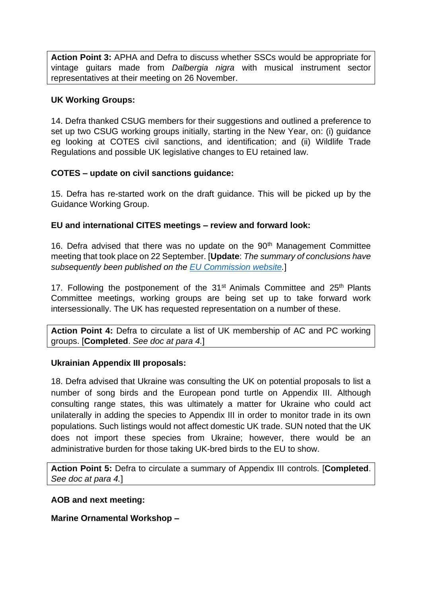**Action Point 3:** APHA and Defra to discuss whether SSCs would be appropriate for vintage guitars made from *Dalbergia nigra* with musical instrument sector representatives at their meeting on 26 November.

### **UK Working Groups:**

14. Defra thanked CSUG members for their suggestions and outlined a preference to set up two CSUG working groups initially, starting in the New Year, on: (i) guidance eg looking at COTES civil sanctions, and identification; and (ii) Wildlife Trade Regulations and possible UK legislative changes to EU retained law.

### **COTES – update on civil sanctions guidance:**

15. Defra has re-started work on the draft guidance. This will be picked up by the Guidance Working Group.

### **EU and international CITES meetings – review and forward look:**

16. Defra advised that there was no update on the 90<sup>th</sup> Management Committee meeting that took place on 22 September. [**Update**: *The summary of conclusions have subsequently been published on the [EU Commission website.](about:blank)*]

17. Following the postponement of the  $31<sup>st</sup>$  Animals Committee and  $25<sup>th</sup>$  Plants Committee meetings, working groups are being set up to take forward work intersessionally. The UK has requested representation on a number of these.

**Action Point 4:** Defra to circulate a list of UK membership of AC and PC working groups. [**Completed**. *See doc at para 4.*]

#### **Ukrainian Appendix III proposals:**

18. Defra advised that Ukraine was consulting the UK on potential proposals to list a number of song birds and the European pond turtle on Appendix III. Although consulting range states, this was ultimately a matter for Ukraine who could act unilaterally in adding the species to Appendix III in order to monitor trade in its own populations. Such listings would not affect domestic UK trade. SUN noted that the UK does not import these species from Ukraine; however, there would be an administrative burden for those taking UK-bred birds to the EU to show.

**Action Point 5:** Defra to circulate a summary of Appendix III controls. [**Completed**. *See doc at para 4.*]

#### **AOB and next meeting:**

## **Marine Ornamental Workshop –**